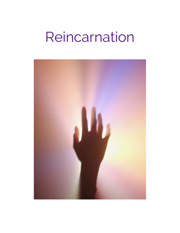# Reincarnation

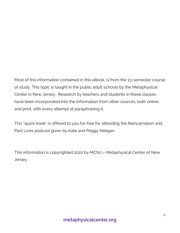Most of this information contained in this eBook, is from the 13-semester course of study. This topic is taught in the public adult schools by the Metaphysical Center in New Jersey. Research by teachers and students in these classes have been incorporated into the information from other sources, both online and print, with every attempt at paraphrasing it.

This "quick book" is offered to you for free for attending the Reincarnation and Past Lives podcast given by Kate and Peggy Neligan.

This information is copyrighted 2022 by MCNJ – Metaphysical Center of New Jersey.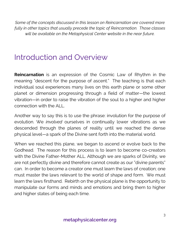*Some of the concepts discussed in this lesson on Reincarnation are covered more fully in other topics that usually precede the topic of Reincarnation. Those classes will be available on the Metaphysical Center website in the near future.* 

#### Introduction and Overview

**Reincarnation** is an expression of the Cosmic Law of Rhythm in the meaning "descent for the purpose of ascent." The teaching is that each individual soul experiences many lives on this earth plane or some other planet or dimension progressing through a field of matter—the lowest vibration—in order to raise the vibration of the soul to a higher and higher connection with the ALL.

Another way to say this is to use the phrase: involution for the purpose of evolution. We *involved* ourselves in continually lower vibrations as we descended through the planes of reality until we reached the dense physical level—a spark of the Divine sent forth into the material world.

When we reached this plane, we began to ascend or evolve back to the Godhead. The reason for this process is to learn to become co-creators with the Divine Father-Mother ALL. Although we are sparks of Divinity, we are not perfectly divine and therefore cannot create as our "divine parents" can. In order to become a creator one must learn the laws of creation; one must master the laws relevant to the world of shape and form. We must learn the laws firsthand. Rebirth on the physical plane is the opportunity to manipulate our forms and minds and emotions and bring them to higher and higher states of being each time.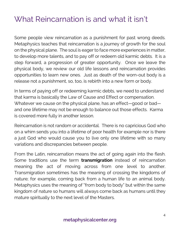#### What Reincarnation is and what it isn't

Some people view reincarnation as a punishment for past wrong deeds. Metaphysics teaches that reincarnation is a journey of growth for the soul on the physical plane. The soul is eager to face more experiences in matter, to develop more talents, and to pay off or redeem old karmic debts. It is a step forward, a progression of greater opportunity. Once we leave the physical body, we review our old life lessons and reincarnation provides opportunities to learn new ones. Just as death of the worn-out body is a release not a punishment, so, too, is rebirth into a new form or body.

In terms of paying off or redeeming karmic debts, we need to understand that karma is basically the Law of Cause and Effect or compensation. Whatever we cause on the physical plane, has an effect—good or bad and one lifetime may not be enough to balance out those effects. Karma is covered more fully in another lesson.

Reincarnation is not random or accidental. There is no capricious God who on a whim sends you into a lifetime of poor health for example nor is there a just God who would cause you to live only one lifetime with so many variations and discrepancies between people.

From the Latin, reincarnation means the act of going again into the flesh. Some traditions use the term **transmigration** instead of reincarnation meaning the act of moving across from one level to another. Transmigration sometimes has the meaning of crossing the kingdoms of nature; for example, coming back from a human life to an animal body. Metaphysics uses the meaning of "from body to body" but within the same kingdom of nature so humans will always come back as humans until they mature spiritually to the next level of the Masters.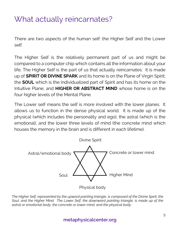#### What actually reincarnates?

There are two aspects of the human self: the Higher Self and the Lower self.

The Higher Self is the relatively permanent part of us and might be compared to a computer chip which contains all the information about your life. The Higher Self is the part of us that actually reincarnates. It is made up of **SPIRIT OR DIVINE SPARK** and its home is on the Plane of Virgin Spirit; the **SOUL** which is the individualized part of Spirit and has its home on the Intuitive Plane; and **HIGHER OR ABSTRACT MIND** whose home is on the four higher levels of the Mental Plane.

The Lower self means the self is more involved with the lower planes. It allows us to function in the dense physical world. It is made up of the physical (which includes the personality and ego), the astral (which is the emotional), and the lower three levels of mind (the concrete mind which houses the memory in the brain and is different in each lifetime).



*The Higher Self, represented by the upward pointing triangle, is composed of the Divine Spirit, the Soul, and the Higher Mind. The Lower Self, the downward pointing triangle, is made up of the astral or emotional body, the concrete or lower mind, and the physical body.* 

#### **metaphysicalcenter.org**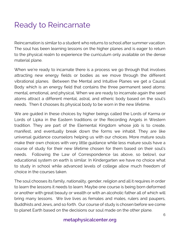### Ready to Reincarnate

Reincarnation is similar to a student who returns to school after summer vacation. The soul has been learning lessons on the higher planes and is eager to return to the physical realm to experience the curriculum only available on the dense material plane.

When we're ready to incarnate there is a process we go through that involves attracting new energy fields or bodies as we move through the different vibrational planes. Between the Mental and Intuitive Planes we get a Causal Body which is an energy field that contains the three permanent seed atoms: mental, emotional, and physical. When we are ready to incarnate again the seed atoms attract a different mental, astral, and etheric body based on the soul's needs. Then it chooses its physical body to be worn in the new lifetime.

We are guided in these choices by higher beings called the Lords of Karma or Lords of Lipka in the Eastern traditions or the Recording Angels in Western tradition. They are part of the Elemental Kingdom whose job is to create, manifest, and eventually break down the forms we inhabit. They are like universal guidance counselors helping us with our choices. More mature souls make their own choices with very little guidance while less mature souls have a course of study for their new lifetime chosen for them based on their soul's needs. Following the Law of Correspondence (as above, so below), our educational system on earth is similar. In Kindergarten we have no choice what to study in school while advanced levels of college allow much freedom of choice in the courses taken.

The soul chooses its family, nationality, gender, religion and all it requires in order to learn the lessons it needs to learn. Maybe one course is being born deformed or another with great beauty or wealth or with an alcoholic father all of which will bring many lessons. We live lives as females and males, rulers and paupers, Buddhists and Jews, and so forth. Our course of study is chosen before we come to planet Earth based on the decisions our soul made on the other plane.

#### **metaphysicalcenter.org**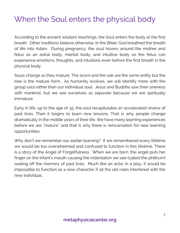### When the Soul enters the physical body

According to the ancient wisdom teachings, the Soul enters the body at the first breath. Other traditions believe otherwise. In the Bible, God breathed the breath of life into Adam. During pregnancy, the soul hovers around the mother and fetus as an astral body, mental body, and intuitive body so the fetus can experience emotions, thoughts, and intuitions even before the first breath in the physical body.

Souls change as they mature. The acorn and the oak are the same entity but the tree is the mature form. As humanity evolves, we will identify more with the group soul rather than our individual soul. Jesus and Buddha saw their oneness with mankind, but we see ourselves as separate because we are spiritually immature.

Early in life, up to the age of 35, the soul recapitulates an accelerated review of past lives. Then it begins to learn new lessons. That is why people change dramatically in the middle years of their life. We have many learning experiences before we are "mature" and that is why there is reincarnation for new learning opportunities.

Why don't we remember our earlier learning? If we remembered every lifetime we would be too overwhelmed and confused to function in this lifetime. There is a story of the Angel of Forgetfulness. When we are born, the angel puts her finger on the infant's mouth causing the indentation we see (called the philtrum) sealing off the memory of past lives. Much like an actor in a play, it would be impossible to function as a new character if all the old roles interfered with the new individual.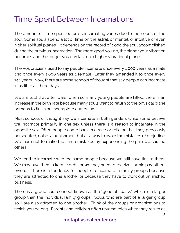#### Time Spent Between Incarnations

The amount of time spent before reincarnating varies due to the needs of the soul. Some souls spend a lot of time on the astral, or mental, or intuitive or even higher spiritual planes. It depends on the record of good the soul accomplished during the previous incarnation. The more good you do, the higher your vibration becomes and the longer you can last on a higher vibrational plane.

The Rosicrucians used to say people incarnate once every 1,000 years as a male and once every 1,000 years as a female. Later they amended it to once every 144 years. Now, there are some schools of thought that say people can incarnate in as little as three days.

We are told that after wars, when so many young people are killed, there is an increase in the birth rate because many souls want to return to the physical plane perhaps to finish an incomplete curriculum.

Most schools of thought say we incarnate in both genders while some believe we incarnate primarily in one sex unless there is a reason to incarnate in the opposite sex. Often people come back in a race or religion that they previously persecuted, not as a punishment but as a way to avoid the mistakes of prejudice. We learn not to make the same mistakes by experiencing the pain we caused others.

We tend to incarnate with the same people because we still have ties to them. We may owe them a karmic debt, or we may need to receive karmic pay others owe us. There is a tendency for people to incarnate in family groups because they are attracted to one another or because they have to work out unfinished business.

There is a group soul concept known as the "general sparks" which is a larger group than the individual family groups. Souls who are part of a larger group soul are also attracted to one another. Think of the groups or organizations to which you belong. Parents and children often reverse roles when they return as

#### **metaphysicalcenter.org**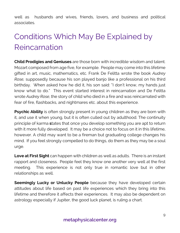well as husbands and wives, friends, lovers, and business and political associates.

## Conditions Which May Be Explained by Reincarnation

**Child Prodigies and Geniuses** are those born with incredible wisdom and talent. Mozart composed from age five, for example. People may come into this lifetime gifted in art, music, mathematics, etc. Frank De Felitta wrote the book *Audrey Rose,* supposedly because his son played banjo like a professional on his third birthday. When asked how he did it, his son said: "I don't know, my hands just know what to do." This event started interest in reincarnation and De Felitta wrote *Audrey Rose*, the story of child who died in a fire and was reincarnated with fear of fire, flashbacks, and nightmares etc. about this experience.

**Psychic Ability** is often strongly present in young children as they are born with it, and use it when young, but it is often culled out by adulthood. The continuity principle of karma **s**tates that once you develop something you are apt to return with it more fully developed. It may be a choice not to focus on it in this lifetime, however. A child may want to be a fireman but graduating college changes his mind. If you feel strongly compelled to do things, do them as they may be a soul urge.

**Love at First Sight** can happen with children as well as adults. There is an instant rapport and closeness. People feel they know one another very well at the first meeting. This experience is not only true in romantic love but in other relationships as well.

**Seemingly Lucky or Unlucky People** because they have developed certain attitudes about life based on past life experiences which they bring into this lifetime and therefore it affects their experiences. It may also be dependent on astrology especially if Jupiter, the good luck planet, is ruling a chart.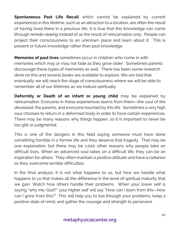**Spontaneous Past Life Recall** which cannot be explained by current experiences in this lifetime, such as an attraction to a location, are often the result of having lived there in a previous life. It is true that this knowledge can come through *remote viewing* instead of as the result of reincarnation only. People can project their consciousness to an unknown place and learn about it. This is present or future knowledge rather than past knowledge.

**Memories of past lives** sometimes occur in children who come in with memories which may or may not fade as they grow older. Sometimes parents discourage these types of memories as well. There has been some research done on this and several books are available to explore. We are told that eventually we will reach the stage of consciousness where we will be able to remember all of our lifetimes as we mature spiritually.

**Deformity or Death of an infant or young child** may be explained by reincarnation. Everyone in these experiences learns from them—the soul of the deceased, the parents, and everyone touched by this life. Sometimes a very high soul chooses to return in a deformed body in order to have certain experiences. There may be many reasons why things happen, so it is important to never be too glib or judgmental.

This is one of the dangers in this field saying someone must have done something horrible in a former life and they deserve that tragedy. That may be one explanation, but there may be 1,000 other reasons why people take on difficult lives. When an advanced soul takes on a difficult life, they can be an inspiration for others. They often maintain a positive attitude and have a radiance as they overcome terrible difficulties.

In the final analysis, it is not what happens to us, but how we handle what happens to us that makes all the difference in the level of spiritual maturity that we gain. Watch how others handle their problems. When your lower self is saying "why me, God?" your higher self will say "How can I learn from this—how can I grow from this?" This will help you to live through your problems, keep a positive state of mind, and gather the courage and strength to persevere.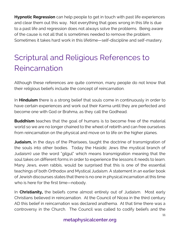**Hypnotic Regression** can help people to get in touch with past life experiences and clear them out this way. Not everything that goes wrong in this life is due to a past life and regression does not always solve the problems. Being aware of the cause is not all that is sometimes needed to remove the problem. Sometimes it takes hard work in this lifetime—self-discipline and self-mastery.

## Scriptural and Religious References to Reincarnation

Although these references are quite common, many people do not know that their religious beliefs include the concept of reincarnation.

In **Hinduism** there is a strong belief that souls come in continuously in order to have certain experiences and work out their Karma until they are perfected and become one with God or Brahma, as they call the Godhead.

**Buddhism** teaches that the goal of humans is to become free of the material world so we are no longer chained to the wheel of rebirth and can free ourselves from reincarnation on the physical and move on to life on the higher planes.

**Judaism,** in the days of the Pharisees, taught the doctrine of transmigration of the souls into other bodies. Today the Hasidic Jews (the mystical branch of Judaism) use the word "gilgul" which means transmigration meaning that the soul takes on different forms in order to experience the lessons it needs to learn. Many Jews, even rabbis, would be surprised that this is one of the essential teachings of both Orthodox and Mystical Judaism. A statement in an earlier book of Jewish discourses states that there is no one in physical incarnation at this time who is here for the first time—nobody.

In **Christianity,** the beliefs come almost entirely out of Judaism. Most early Christians believed in reincarnation. At the Council of Nicea in the third century AD this belief in reincarnation was declared anathema. At that time there was a controversy in the Church. The Council was called to codify beliefs and the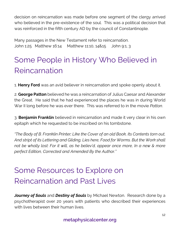decision on reincarnation was made before one segment of the clergy arrived who believed in the pre-existence of the soul. This was a political decision that was reinforced in the fifth century AD by the council of Constantinople.

Many passages in the New Testament refer to reincarnation. John 1:25 Matthew 16:14 Matthew 11:10, 14&15 John 9:1, 3

### Some People in History Who Believed in Reincarnation

1. **Henry Ford** was an avid believer in reincarnation and spoke openly about it.

2. **George Patton** believed he was a reincarnation of Julius Caesar and Alexander the Great. He said that he had experienced the places he was in during World War II long before he was ever there. This was referred to in the movie *Patton*.

3. **Benjamin Franklin** believed in reincarnation and made it very clear in his own epitaph which he requested to be inscribed on his tombstone.

*"The Body of B. Franklin Printer; Like the Cover of an old Book, Its Contents torn out, And stript of its Lettering and Gilding, Lies here, Food for Worms. But the Work shall not be wholly lost: For it will, as he believ'd, appear once more, In a new & more perfect Edition, Corrected and Amended By the Author."*

### Some Resources to Explore on Reincarnation and Past Lives

*Journey of Souls* and *Destiny of Souls* by Michael Newton. Research done by a psychotherapist over 20 years with patients who described their experiences with lives between their human lives.